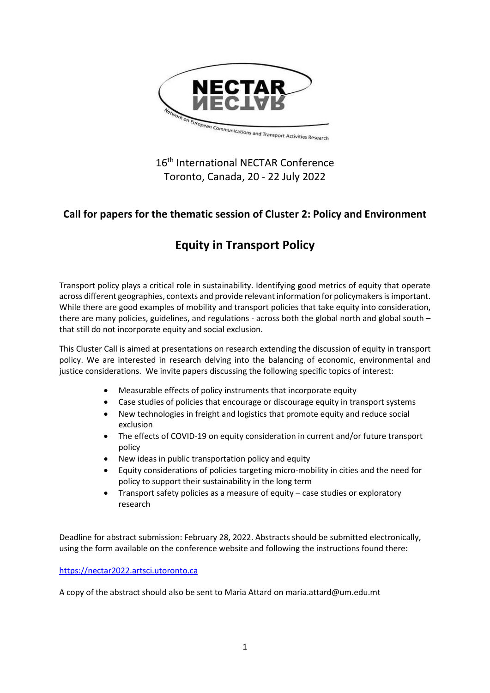

## 16<sup>th</sup> International NECTAR Conference Toronto, Canada, 20 - 22 July 2022

## **Call for papers for the thematic session of Cluster 2: Policy and Environment**

# **Equity in Transport Policy**

Transport policy plays a critical role in sustainability. Identifying good metrics of equity that operate across different geographies, contexts and provide relevant information for policymakers is important. While there are good examples of mobility and transport policies that take equity into consideration, there are many policies, guidelines, and regulations - across both the global north and global south – that still do not incorporate equity and social exclusion.

This Cluster Call is aimed at presentations on research extending the discussion of equity in transport policy. We are interested in research delving into the balancing of economic, environmental and justice considerations. We invite papers discussing the following specific topics of interest:

- Measurable effects of policy instruments that incorporate equity
- Case studies of policies that encourage or discourage equity in transport systems
- New technologies in freight and logistics that promote equity and reduce social exclusion
- The effects of COVID-19 on equity consideration in current and/or future transport policy
- New ideas in public transportation policy and equity
- Equity considerations of policies targeting micro-mobility in cities and the need for policy to support their sustainability in the long term
- Transport safety policies as a measure of equity case studies or exploratory research

Deadline for abstract submission: February 28, 2022. Abstracts should be submitted electronically, using the form available on the conference website and following the instructions found there:

### [https://nectar2022.artsci.utoronto.ca](https://nectar2022.artsci.utoronto.ca/)

A copy of the abstract should also be sent to Maria Attard on maria.attard@um.edu.mt